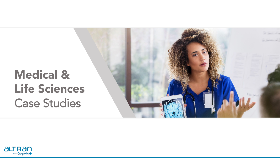# Medical & Life Sciences Case Studies

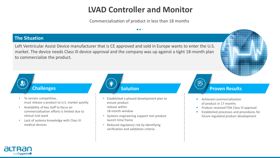# **LVAD Controller and Monitor**

Commercialization of product in less than 18 months

 $\bullet\bullet\bullet$ 

## **The Situation**

影

Left Ventricular Assist Device manufacturer that is CE approved and sold in Europe wants to enter the U.S. market. The device needs Class III device approval and the company was up against a tight 18-month plan to commercialize the product.

 $\ddot{ }$ 

# **Challenges**

- To remain competitive, must release a product to U.S. market quickly
- Availability of key staff to focus on commercialization efforts is limited due to clinical trial work
- Lack of systems knowledge with Class III medical devices

- Established a phased development plan to ensure product release within 18-month window
- Systems engineering support met product launch time frame
- Reduced regulatory risk by identifying verification and validation criteria

## **Solution Proven Results**

 $E$ 

- **Achieved commercialization** of product in 17 months
- **Product received FDA Class III approval**
- **Established processes and procedures for** future regulated product development

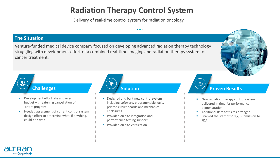# **Radiation Therapy Control System**

 $\bullet\bullet\bullet$ 

Delivery of real-time control system for radiation oncology

## **The Situation**

Venture-funded medical device company focused on developing advanced radiation therapy technology struggling with development effort of a combined real-time imaging and radiation therapy system for cancer treatment.



- Development effort late and over budget – threatening cancellation of entire program
- Needed assessment of current control system design effort to determine what, if anything, could be saved

- Designed and built new control system including software, programmable logic, printed circuit boards and mechanical enclosures
- Provided on-site integration and performance testing support
- Provided on-site verification



#### **Solution Proven Results**

- New radiation therapy control system delivered in time for performance demonstration
- Additional Beta test sites arranged
- **Enabled the start of 510(k) submission to** FDA